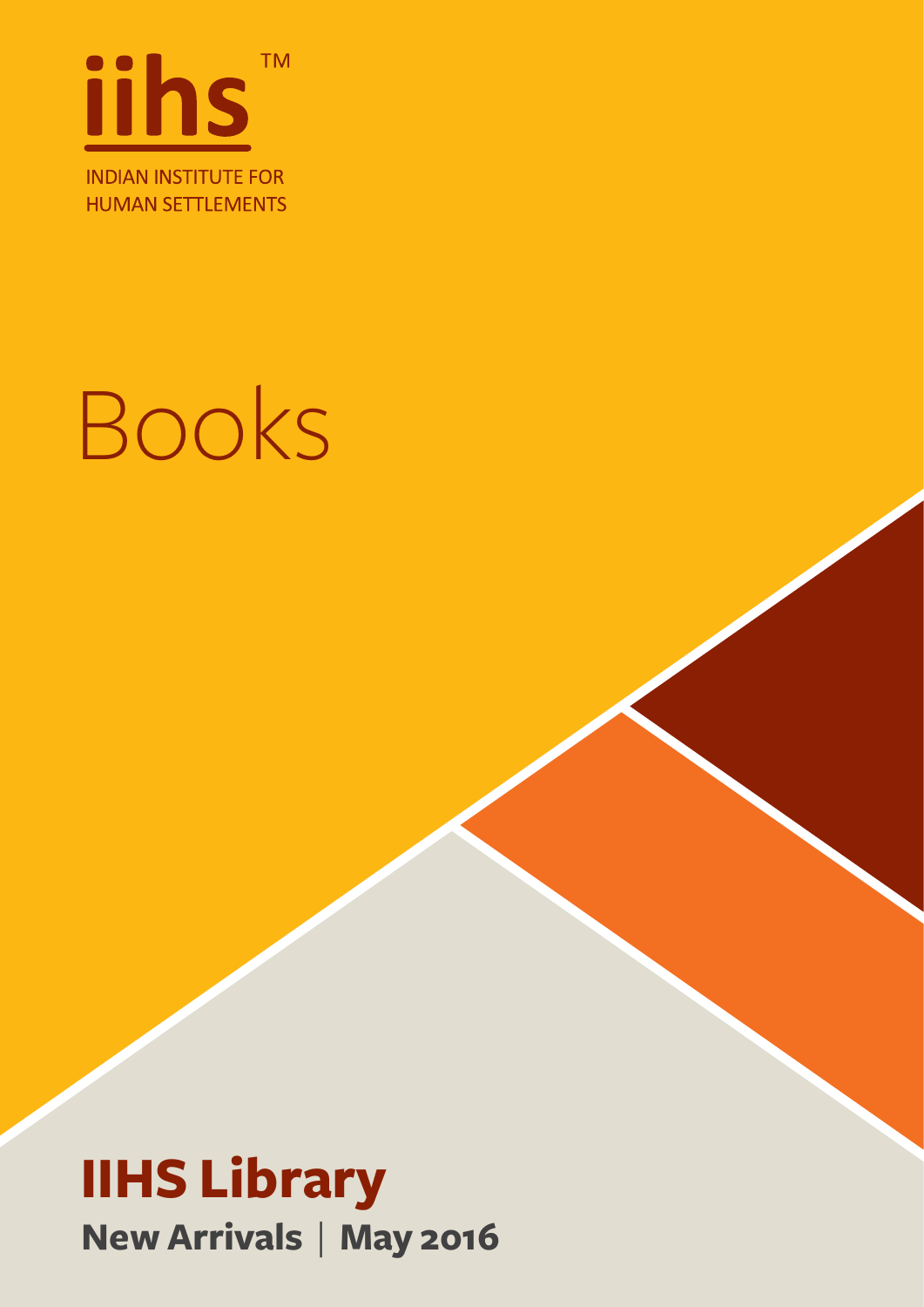

## Books

#### **IIHS Library New Arrivals** | **May 2016**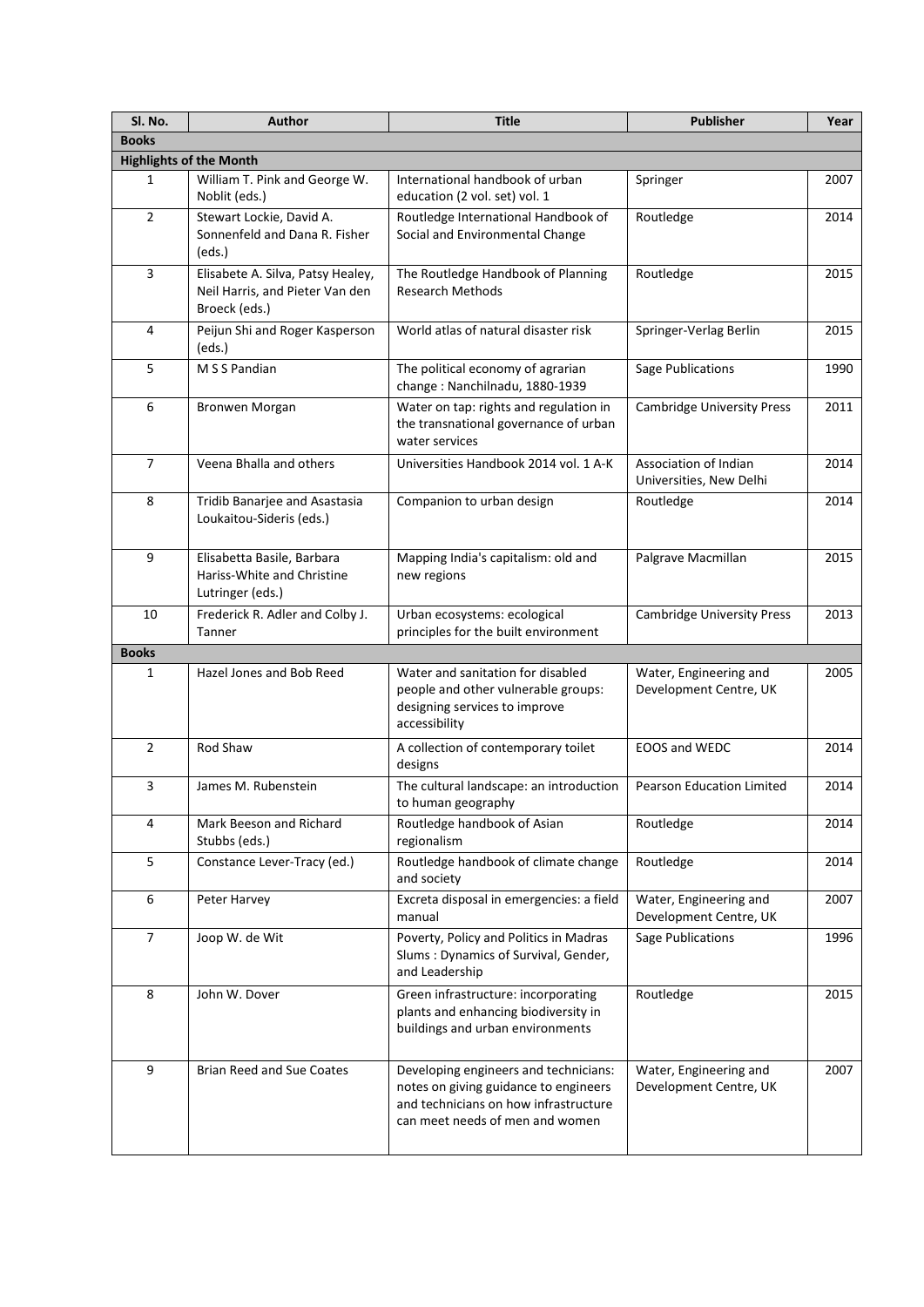| SI. No.                        | <b>Author</b>                                                                         | <b>Title</b>                                                                                                                                               | <b>Publisher</b>                                 | Year |  |
|--------------------------------|---------------------------------------------------------------------------------------|------------------------------------------------------------------------------------------------------------------------------------------------------------|--------------------------------------------------|------|--|
| <b>Books</b>                   |                                                                                       |                                                                                                                                                            |                                                  |      |  |
| <b>Highlights of the Month</b> |                                                                                       |                                                                                                                                                            |                                                  |      |  |
| 1                              | William T. Pink and George W.<br>Noblit (eds.)                                        | International handbook of urban<br>education (2 vol. set) vol. 1                                                                                           | Springer                                         | 2007 |  |
| $\overline{2}$                 | Stewart Lockie, David A.<br>Sonnenfeld and Dana R. Fisher<br>(eds.)                   | Routledge International Handbook of<br>Social and Environmental Change                                                                                     | Routledge                                        | 2014 |  |
| 3                              | Elisabete A. Silva, Patsy Healey,<br>Neil Harris, and Pieter Van den<br>Broeck (eds.) | The Routledge Handbook of Planning<br><b>Research Methods</b>                                                                                              | Routledge                                        | 2015 |  |
| 4                              | Peijun Shi and Roger Kasperson<br>(eds.)                                              | World atlas of natural disaster risk                                                                                                                       | Springer-Verlag Berlin                           | 2015 |  |
| 5                              | M S S Pandian                                                                         | The political economy of agrarian<br>change: Nanchilnadu, 1880-1939                                                                                        | Sage Publications                                | 1990 |  |
| 6                              | Bronwen Morgan                                                                        | Water on tap: rights and regulation in<br>the transnational governance of urban<br>water services                                                          | <b>Cambridge University Press</b>                | 2011 |  |
| 7                              | Veena Bhalla and others                                                               | Universities Handbook 2014 vol. 1 A-K                                                                                                                      | Association of Indian<br>Universities, New Delhi | 2014 |  |
| 8                              | Tridib Banarjee and Asastasia<br>Loukaitou-Sideris (eds.)                             | Companion to urban design                                                                                                                                  | Routledge                                        | 2014 |  |
| 9                              | Elisabetta Basile, Barbara<br>Hariss-White and Christine<br>Lutringer (eds.)          | Mapping India's capitalism: old and<br>new regions                                                                                                         | Palgrave Macmillan                               | 2015 |  |
| 10                             | Frederick R. Adler and Colby J.<br>Tanner                                             | Urban ecosystems: ecological<br>principles for the built environment                                                                                       | <b>Cambridge University Press</b>                | 2013 |  |
| <b>Books</b>                   |                                                                                       |                                                                                                                                                            |                                                  |      |  |
| 1                              | Hazel Jones and Bob Reed                                                              | Water and sanitation for disabled<br>people and other vulnerable groups:<br>designing services to improve<br>accessibility                                 | Water, Engineering and<br>Development Centre, UK | 2005 |  |
| $\overline{2}$                 | Rod Shaw                                                                              | A collection of contemporary toilet<br>designs                                                                                                             | EOOS and WEDC                                    | 2014 |  |
| 3                              | James M. Rubenstein                                                                   | The cultural landscape: an introduction<br>to human geography                                                                                              | Pearson Education Limited                        | 2014 |  |
| 4                              | Mark Beeson and Richard<br>Stubbs (eds.)                                              | Routledge handbook of Asian<br>regionalism                                                                                                                 | Routledge                                        | 2014 |  |
| 5                              | Constance Lever-Tracy (ed.)                                                           | Routledge handbook of climate change<br>and society                                                                                                        | Routledge                                        | 2014 |  |
| 6                              | Peter Harvey                                                                          | Excreta disposal in emergencies: a field<br>manual                                                                                                         | Water, Engineering and<br>Development Centre, UK | 2007 |  |
| 7                              | Joop W. de Wit                                                                        | Poverty, Policy and Politics in Madras<br>Slums: Dynamics of Survival, Gender,<br>and Leadership                                                           | <b>Sage Publications</b>                         | 1996 |  |
| 8                              | John W. Dover                                                                         | Green infrastructure: incorporating<br>plants and enhancing biodiversity in<br>buildings and urban environments                                            | Routledge                                        | 2015 |  |
| 9                              | Brian Reed and Sue Coates                                                             | Developing engineers and technicians:<br>notes on giving guidance to engineers<br>and technicians on how infrastructure<br>can meet needs of men and women | Water, Engineering and<br>Development Centre, UK | 2007 |  |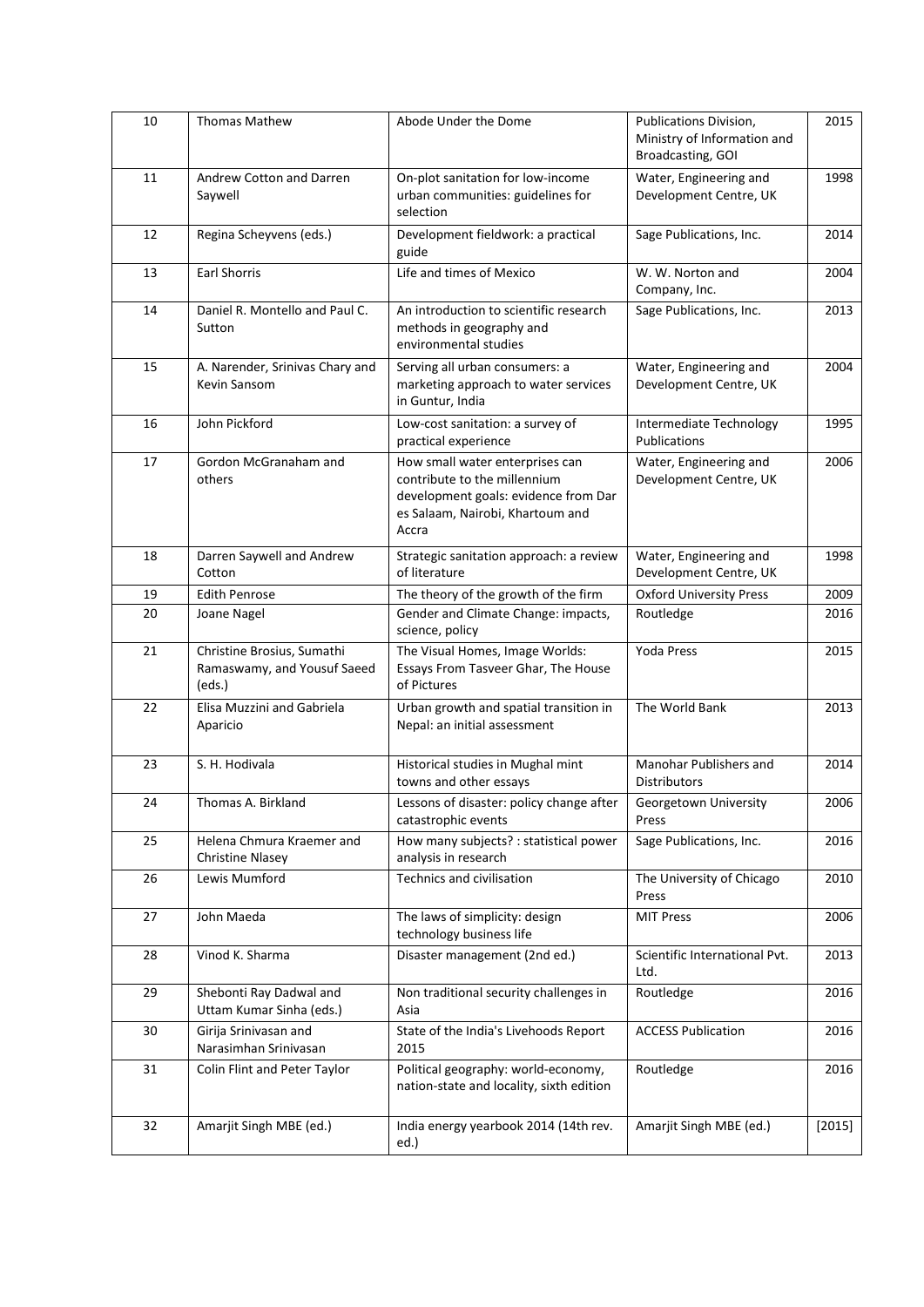| 10 | <b>Thomas Mathew</b>                                                | Abode Under the Dome                                                                                                                                 | Publications Division,<br>Ministry of Information and<br>Broadcasting, GOI | 2015     |
|----|---------------------------------------------------------------------|------------------------------------------------------------------------------------------------------------------------------------------------------|----------------------------------------------------------------------------|----------|
| 11 | Andrew Cotton and Darren<br>Saywell                                 | On-plot sanitation for low-income<br>urban communities: guidelines for<br>selection                                                                  | Water, Engineering and<br>Development Centre, UK                           | 1998     |
| 12 | Regina Scheyvens (eds.)                                             | Development fieldwork: a practical<br>guide                                                                                                          | Sage Publications, Inc.                                                    | 2014     |
| 13 | <b>Earl Shorris</b>                                                 | Life and times of Mexico                                                                                                                             | W. W. Norton and<br>Company, Inc.                                          | 2004     |
| 14 | Daniel R. Montello and Paul C.<br>Sutton                            | An introduction to scientific research<br>methods in geography and<br>environmental studies                                                          | Sage Publications, Inc.                                                    | 2013     |
| 15 | A. Narender, Srinivas Chary and<br>Kevin Sansom                     | Serving all urban consumers: a<br>marketing approach to water services<br>in Guntur, India                                                           | Water, Engineering and<br>Development Centre, UK                           | 2004     |
| 16 | John Pickford                                                       | Low-cost sanitation: a survey of<br>practical experience                                                                                             | Intermediate Technology<br>Publications                                    | 1995     |
| 17 | Gordon McGranaham and<br>others                                     | How small water enterprises can<br>contribute to the millennium<br>development goals: evidence from Dar<br>es Salaam, Nairobi, Khartoum and<br>Accra | Water, Engineering and<br>Development Centre, UK                           | 2006     |
| 18 | Darren Saywell and Andrew<br>Cotton                                 | Strategic sanitation approach: a review<br>of literature                                                                                             | Water, Engineering and<br>Development Centre, UK                           | 1998     |
| 19 | <b>Edith Penrose</b>                                                | The theory of the growth of the firm                                                                                                                 | <b>Oxford University Press</b>                                             | 2009     |
| 20 | Joane Nagel                                                         | Gender and Climate Change: impacts,<br>science, policy                                                                                               | Routledge                                                                  | 2016     |
| 21 | Christine Brosius, Sumathi<br>Ramaswamy, and Yousuf Saeed<br>(eds.) | The Visual Homes, Image Worlds:<br>Essays From Tasveer Ghar, The House<br>of Pictures                                                                | Yoda Press                                                                 | 2015     |
| 22 | Elisa Muzzini and Gabriela<br>Aparicio                              | Urban growth and spatial transition in<br>Nepal: an initial assessment                                                                               | The World Bank                                                             | 2013     |
| 23 | S. H. Hodivala                                                      | Historical studies in Mughal mint<br>towns and other essays                                                                                          | Manohar Publishers and<br><b>Distributors</b>                              | 2014     |
| 24 | Thomas A. Birkland                                                  | Lessons of disaster: policy change after<br>catastrophic events                                                                                      | Georgetown University<br>Press                                             | 2006     |
| 25 | Helena Chmura Kraemer and<br><b>Christine Nlasey</b>                | How many subjects? : statistical power<br>analysis in research                                                                                       | Sage Publications, Inc.                                                    | 2016     |
| 26 | Lewis Mumford                                                       | Technics and civilisation                                                                                                                            | The University of Chicago<br>Press                                         | 2010     |
| 27 | John Maeda                                                          | The laws of simplicity: design<br>technology business life                                                                                           | <b>MIT Press</b>                                                           | 2006     |
| 28 | Vinod K. Sharma                                                     | Disaster management (2nd ed.)                                                                                                                        | Scientific International Pvt.<br>Ltd.                                      | 2013     |
| 29 | Shebonti Ray Dadwal and<br>Uttam Kumar Sinha (eds.)                 | Non traditional security challenges in<br>Asia                                                                                                       | Routledge                                                                  | 2016     |
| 30 | Girija Srinivasan and<br>Narasimhan Srinivasan                      | State of the India's Livehoods Report<br>2015                                                                                                        | <b>ACCESS Publication</b>                                                  | 2016     |
| 31 | Colin Flint and Peter Taylor                                        | Political geography: world-economy,<br>nation-state and locality, sixth edition                                                                      | Routledge                                                                  | 2016     |
| 32 | Amarjit Singh MBE (ed.)                                             | India energy yearbook 2014 (14th rev.<br>ed.)                                                                                                        | Amarjit Singh MBE (ed.)                                                    | $[2015]$ |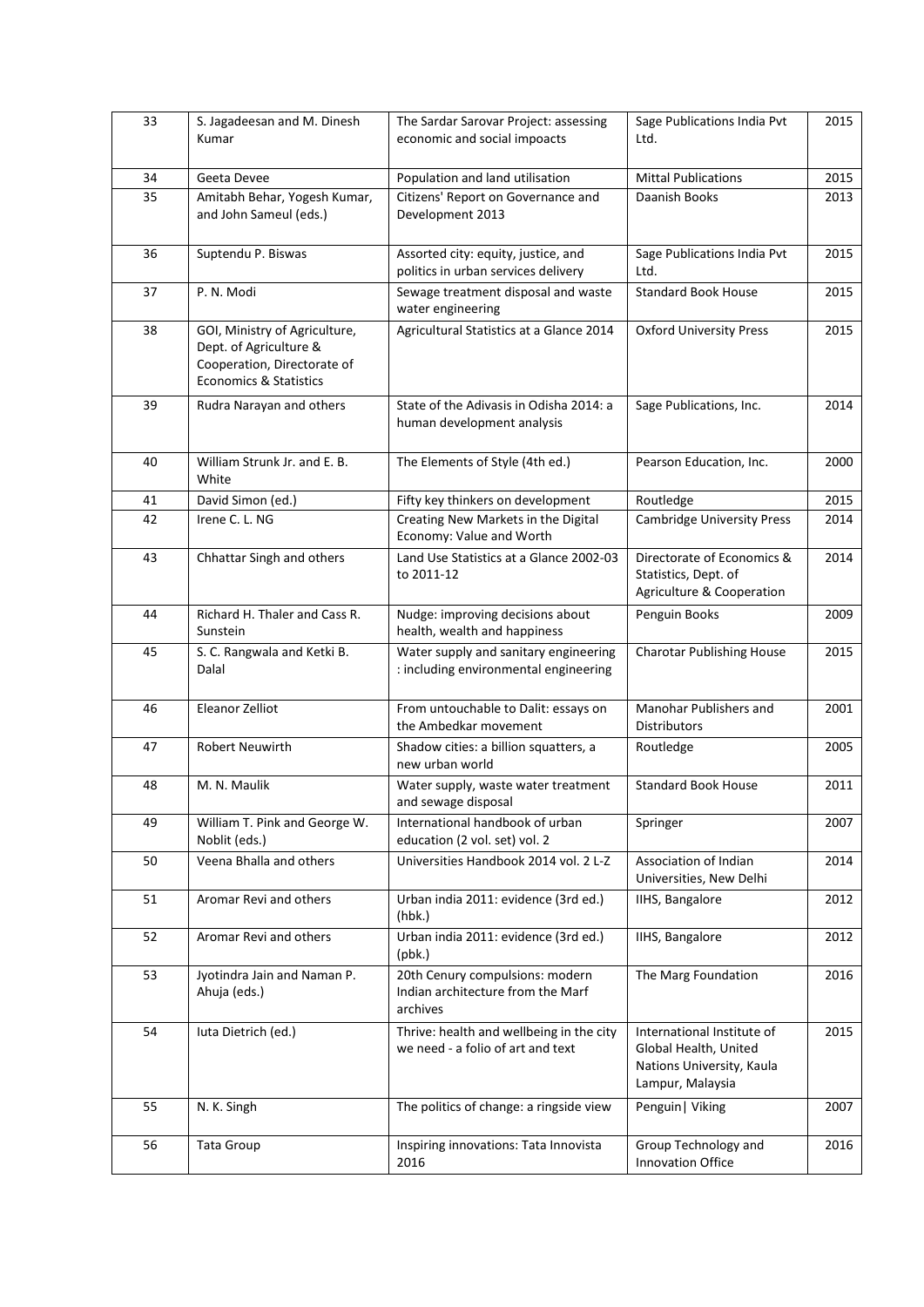| 33 | S. Jagadeesan and M. Dinesh<br>Kumar                                                                                        | The Sardar Sarovar Project: assessing<br>economic and social impoacts            | Sage Publications India Pvt<br>Ltd.                                                                  | 2015 |
|----|-----------------------------------------------------------------------------------------------------------------------------|----------------------------------------------------------------------------------|------------------------------------------------------------------------------------------------------|------|
| 34 | Geeta Devee                                                                                                                 | Population and land utilisation                                                  | <b>Mittal Publications</b>                                                                           | 2015 |
| 35 | Amitabh Behar, Yogesh Kumar,<br>and John Sameul (eds.)                                                                      | Citizens' Report on Governance and<br>Development 2013                           | Daanish Books                                                                                        | 2013 |
| 36 | Suptendu P. Biswas                                                                                                          | Assorted city: equity, justice, and<br>politics in urban services delivery       | Sage Publications India Pvt<br>Ltd.                                                                  | 2015 |
| 37 | P. N. Modi                                                                                                                  | Sewage treatment disposal and waste<br>water engineering                         | <b>Standard Book House</b>                                                                           | 2015 |
| 38 | GOI, Ministry of Agriculture,<br>Dept. of Agriculture &<br>Cooperation, Directorate of<br><b>Economics &amp; Statistics</b> | Agricultural Statistics at a Glance 2014                                         | <b>Oxford University Press</b>                                                                       | 2015 |
| 39 | Rudra Narayan and others                                                                                                    | State of the Adivasis in Odisha 2014: a<br>human development analysis            | Sage Publications, Inc.                                                                              | 2014 |
| 40 | William Strunk Jr. and E. B.<br>White                                                                                       | The Elements of Style (4th ed.)                                                  | Pearson Education, Inc.                                                                              | 2000 |
| 41 | David Simon (ed.)                                                                                                           | Fifty key thinkers on development                                                | Routledge                                                                                            | 2015 |
| 42 | Irene C. L. NG                                                                                                              | Creating New Markets in the Digital<br>Economy: Value and Worth                  | <b>Cambridge University Press</b>                                                                    | 2014 |
| 43 | Chhattar Singh and others                                                                                                   | Land Use Statistics at a Glance 2002-03<br>to 2011-12                            | Directorate of Economics &<br>Statistics, Dept. of<br>Agriculture & Cooperation                      | 2014 |
| 44 | Richard H. Thaler and Cass R.<br>Sunstein                                                                                   | Nudge: improving decisions about<br>health, wealth and happiness                 | Penguin Books                                                                                        | 2009 |
| 45 | S. C. Rangwala and Ketki B.<br>Dalal                                                                                        | Water supply and sanitary engineering<br>: including environmental engineering   | <b>Charotar Publishing House</b>                                                                     | 2015 |
| 46 | Eleanor Zelliot                                                                                                             | From untouchable to Dalit: essays on<br>the Ambedkar movement                    | Manohar Publishers and<br><b>Distributors</b>                                                        | 2001 |
| 47 | Robert Neuwirth                                                                                                             | Shadow cities: a billion squatters, a<br>new urban world                         | Routledge                                                                                            | 2005 |
| 48 | M. N. Maulik                                                                                                                | Water supply, waste water treatment<br>and sewage disposal                       | <b>Standard Book House</b>                                                                           | 2011 |
| 49 | William T. Pink and George W.<br>Noblit (eds.)                                                                              | International handbook of urban<br>education (2 vol. set) vol. 2                 | Springer                                                                                             | 2007 |
| 50 | Veena Bhalla and others                                                                                                     | Universities Handbook 2014 vol. 2 L-Z                                            | Association of Indian<br>Universities, New Delhi                                                     | 2014 |
| 51 | Aromar Revi and others                                                                                                      | Urban india 2011: evidence (3rd ed.)<br>(hbk.)                                   | IIHS, Bangalore                                                                                      | 2012 |
| 52 | Aromar Revi and others                                                                                                      | Urban india 2011: evidence (3rd ed.)<br>(pbk.)                                   | IIHS, Bangalore                                                                                      | 2012 |
| 53 | Jyotindra Jain and Naman P.<br>Ahuja (eds.)                                                                                 | 20th Cenury compulsions: modern<br>Indian architecture from the Marf<br>archives | The Marg Foundation                                                                                  | 2016 |
| 54 | luta Dietrich (ed.)                                                                                                         | Thrive: health and wellbeing in the city<br>we need - a folio of art and text    | International Institute of<br>Global Health, United<br>Nations University, Kaula<br>Lampur, Malaysia | 2015 |
| 55 | N. K. Singh                                                                                                                 | The politics of change: a ringside view                                          | Penguin   Viking                                                                                     | 2007 |
| 56 | Tata Group                                                                                                                  | Inspiring innovations: Tata Innovista<br>2016                                    | Group Technology and<br>Innovation Office                                                            | 2016 |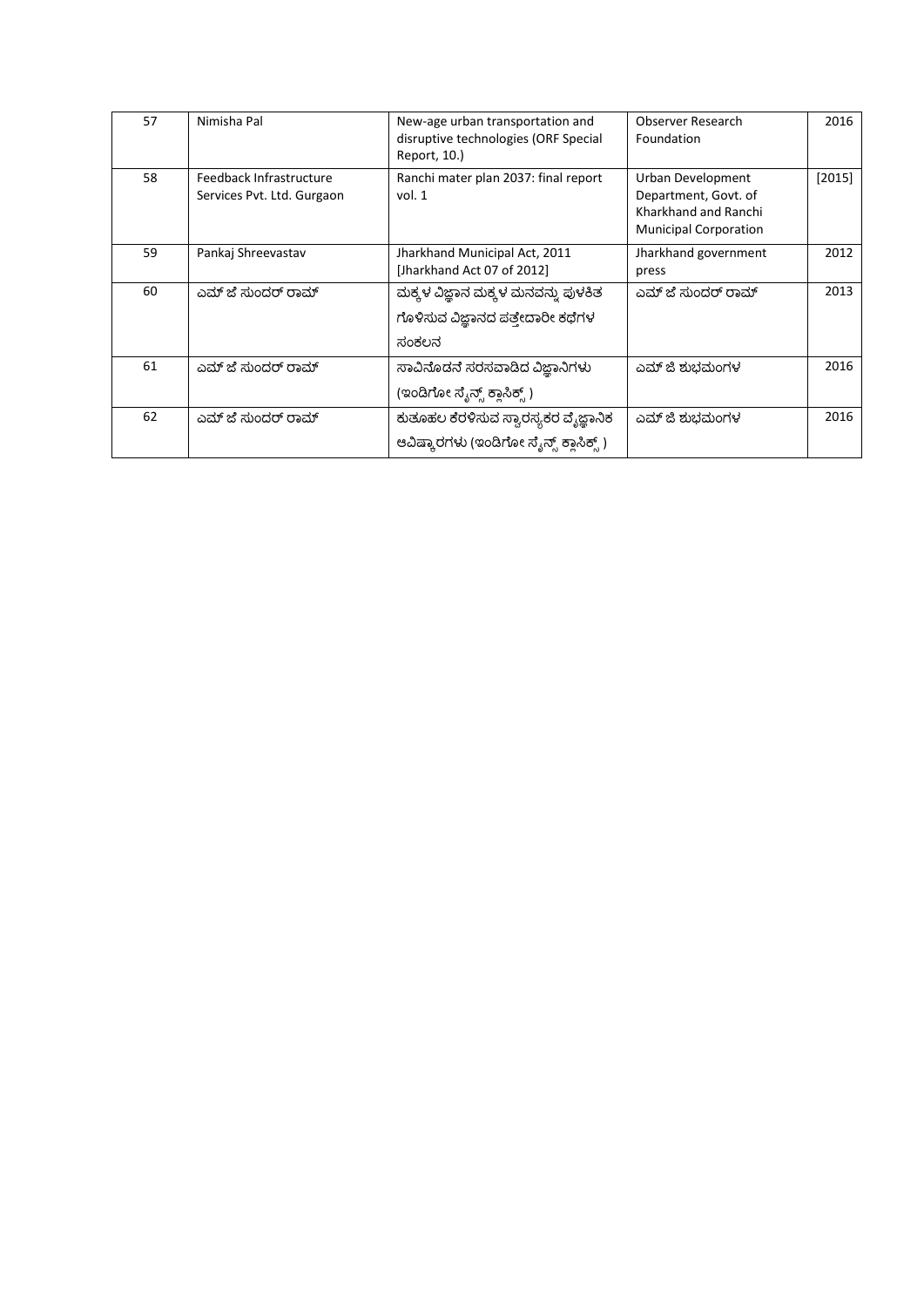| 57 | Nimisha Pal                                           | New-age urban transportation and<br>disruptive technologies (ORF Special<br>Report, 10.) | Observer Research<br>Foundation                                                                   | 2016     |
|----|-------------------------------------------------------|------------------------------------------------------------------------------------------|---------------------------------------------------------------------------------------------------|----------|
| 58 | Feedback Infrastructure<br>Services Pvt. Ltd. Gurgaon | Ranchi mater plan 2037: final report<br>vol.1                                            | Urban Development<br>Department, Govt. of<br>Kharkhand and Ranchi<br><b>Municipal Corporation</b> | $[2015]$ |
| 59 | Pankaj Shreevastav                                    | Jharkhand Municipal Act, 2011<br>[Jharkhand Act 07 of 2012]                              | Jharkhand government<br>press                                                                     | 2012     |
| 60 | ಎಮ್ ಜೆ ಸುಂದರ್ ರಾಮ್                                    | ಮಕ್ಕಳ ವಿಜ್ಞಾನ ಮಕ್ಕಳ ಮನವನ್ನು ಪುಳಕಿತ<br>ಗೊಳಿಸುವ ವಿಜ್ಞಾನದ ಪತ್ತೇದಾರೀ ಕಥೆಗಳ<br>ಸಂಕಲನ          | ಎಮ್ ಜೆ ಸುಂದರ್ ರಾಮ್                                                                                | 2013     |
| 61 | ಎಮ್ ಜೆ ಸುಂದರ್ ರಾಮ್                                    | ಸಾವಿನೊಡನೆ ಸರಸವಾಡಿದ ವಿಜಾನಿಗಳು<br>(ಇಂಡಿಗೋ ಸ್ಕೆನ್ಸ್ ಕ್ಲಾಸಿಕ್ಸ್ )                            | ಎಮ್ ಜಿ ಶುಬಮಂಗಳ                                                                                    | 2016     |
| 62 | ಎಮ್ ಜೆ ಸುಂದರ್ ರಾಮ್                                    | ಕುತೂಹಲ ಕೆರಳಿಸುವ ಸ್ವಾರಸ್ಯಕರ ವೈಜ್ಞಾನಿಕ<br>ಆವಿಷ್ಕಾರಗಳು (ಇಂಡಿಗೋ ಸ್ಕೆನ್ಸ್ ಕ್ಲಾಸಿಕ್ಸ್ )        | ಎಮ್ ಜಿ ಶುಬಮಂಗಳ                                                                                    | 2016     |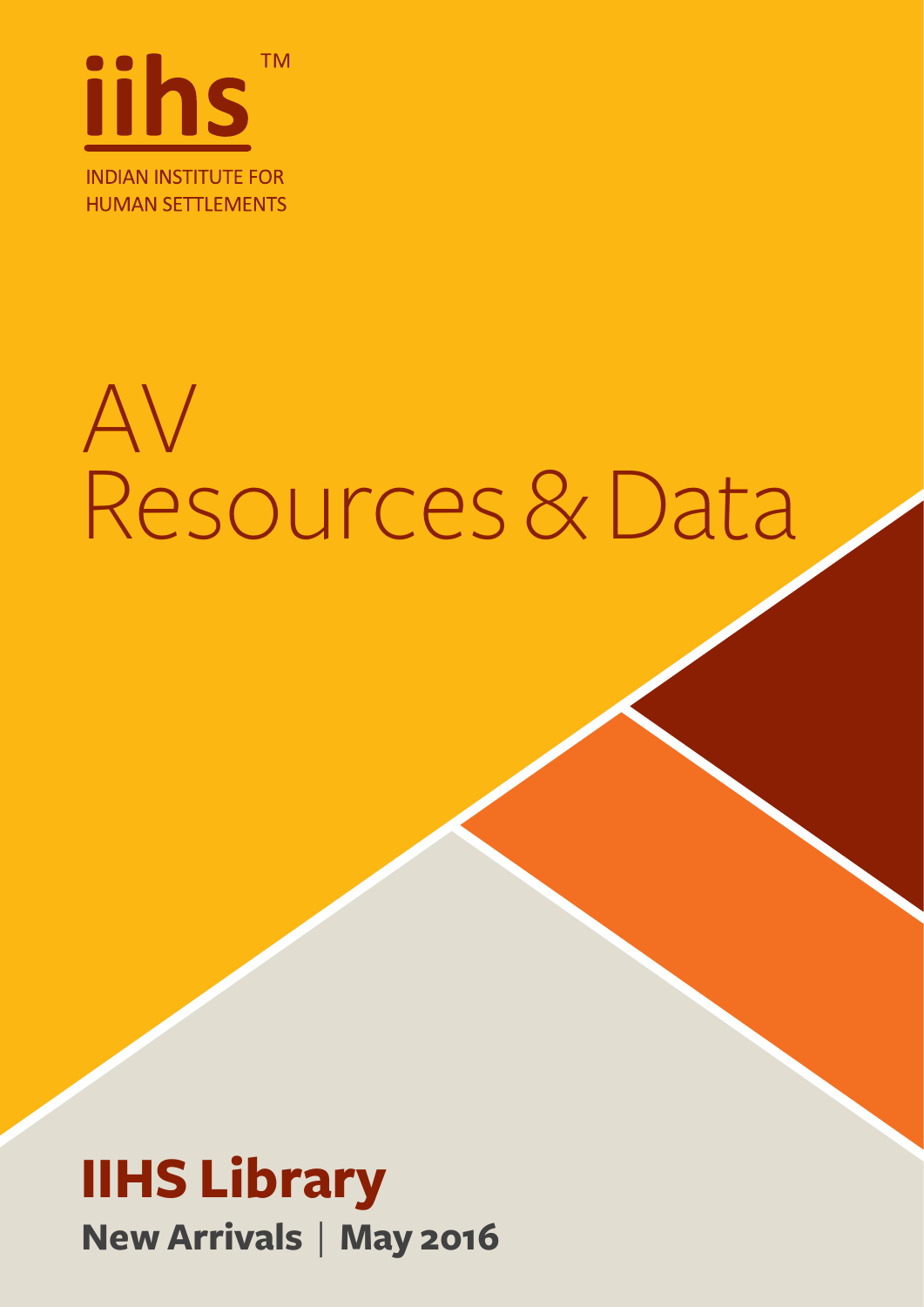

### AV Resources & Data

#### **IIHS Library New Arrivals** | **May 2016**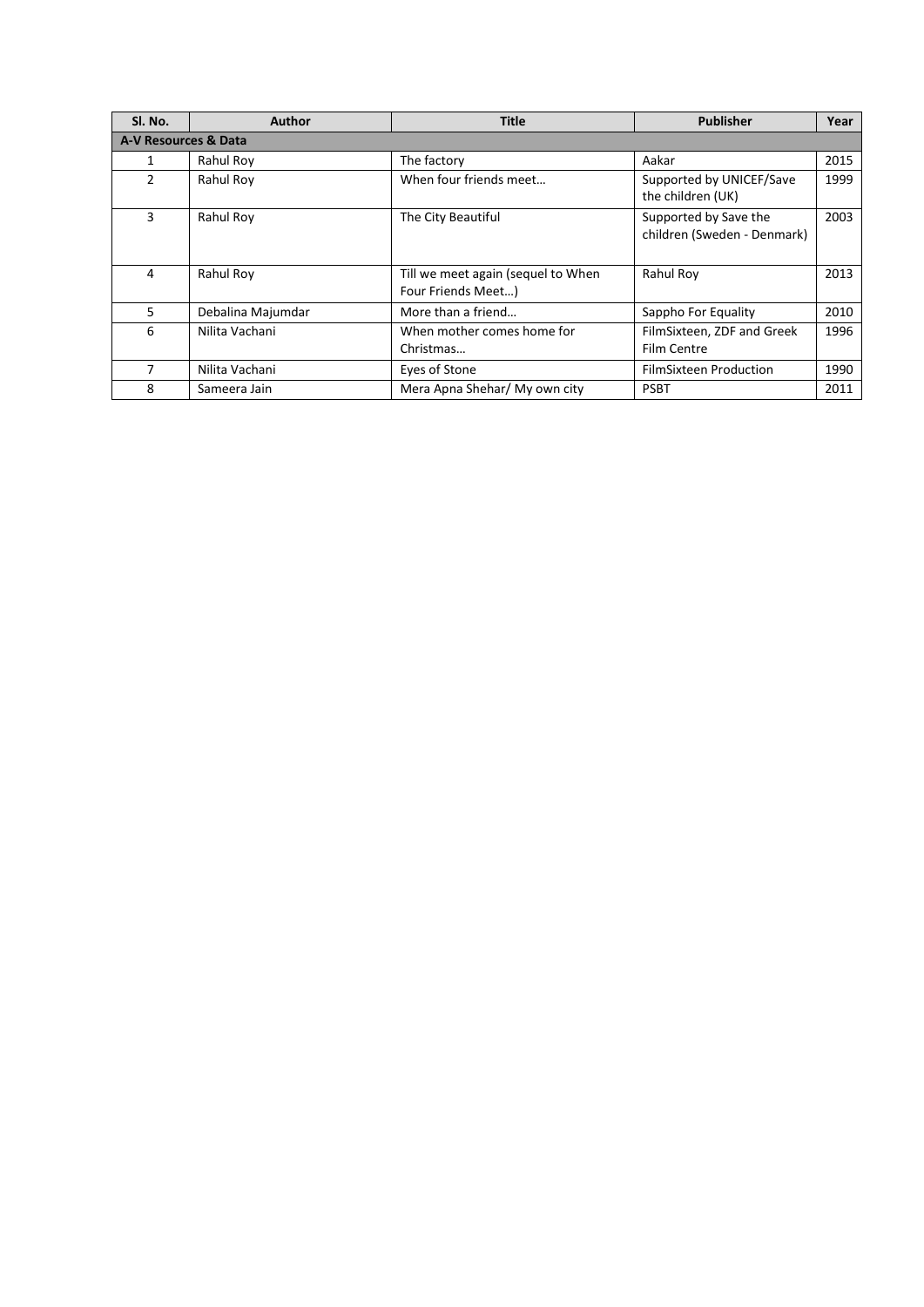| Sl. No.       | <b>Author</b>        | Title                                                    | <b>Publisher</b>                                     | Year |  |  |
|---------------|----------------------|----------------------------------------------------------|------------------------------------------------------|------|--|--|
|               | A-V Resources & Data |                                                          |                                                      |      |  |  |
| 1             | Rahul Roy            | The factory                                              | Aakar                                                | 2015 |  |  |
| $\mathcal{P}$ | Rahul Roy            | When four friends meet                                   | Supported by UNICEF/Save<br>the children (UK)        | 1999 |  |  |
| 3             | Rahul Roy            | The City Beautiful                                       | Supported by Save the<br>children (Sweden - Denmark) | 2003 |  |  |
| 4             | Rahul Roy            | Till we meet again (sequel to When<br>Four Friends Meet) | Rahul Roy                                            | 2013 |  |  |
| 5.            | Debalina Majumdar    | More than a friend                                       | Sappho For Equality                                  | 2010 |  |  |
| 6             | Nilita Vachani       | When mother comes home for<br>Christmas                  | FilmSixteen, ZDF and Greek<br>Film Centre            | 1996 |  |  |
| 7             | Nilita Vachani       | Eyes of Stone                                            | <b>FilmSixteen Production</b>                        | 1990 |  |  |
| 8             | Sameera Jain         | Mera Apna Shehar/ My own city                            | <b>PSBT</b>                                          | 2011 |  |  |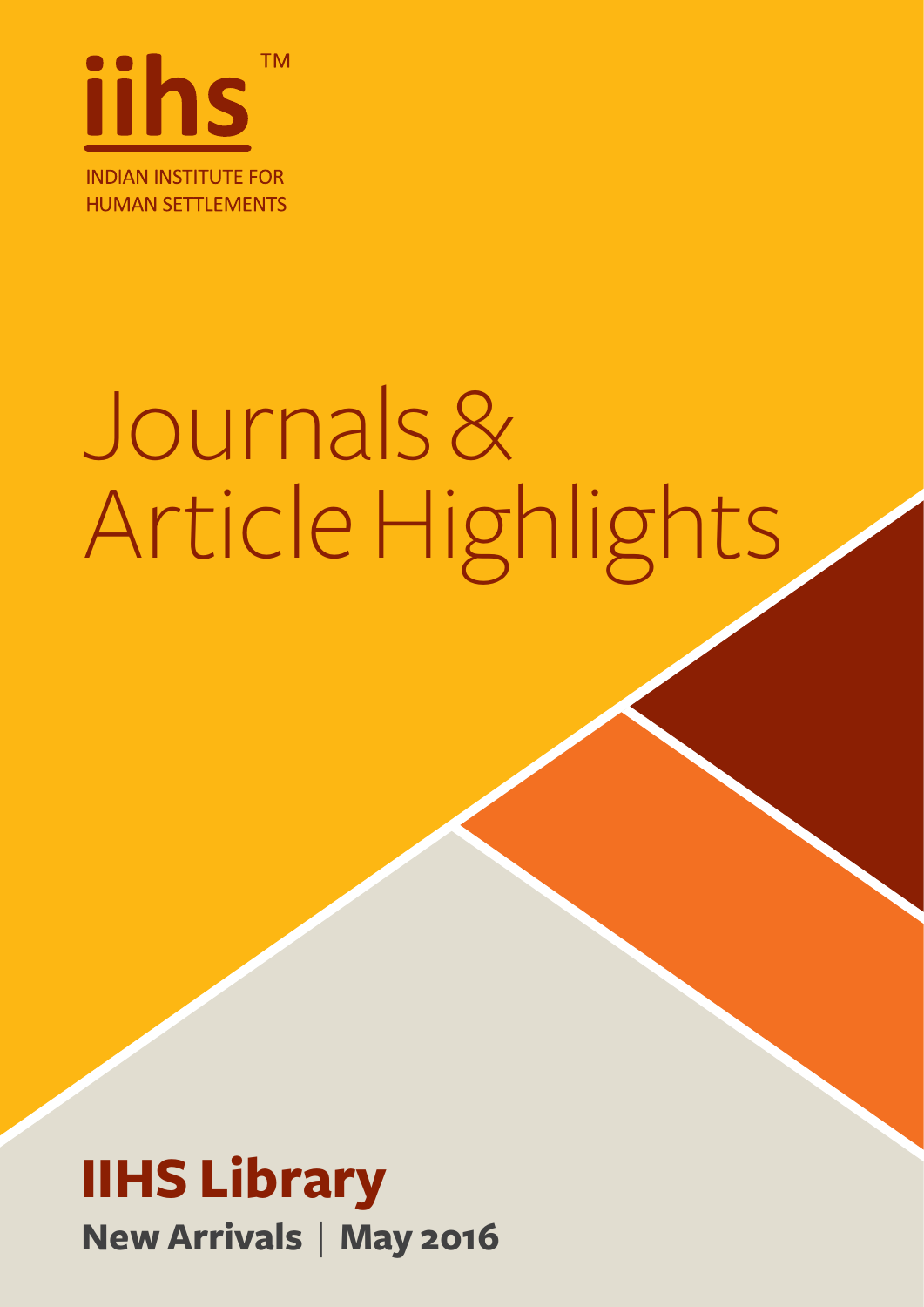

# Journals & Article Highlights

#### **IIHS Library New Arrivals** | **May 2016**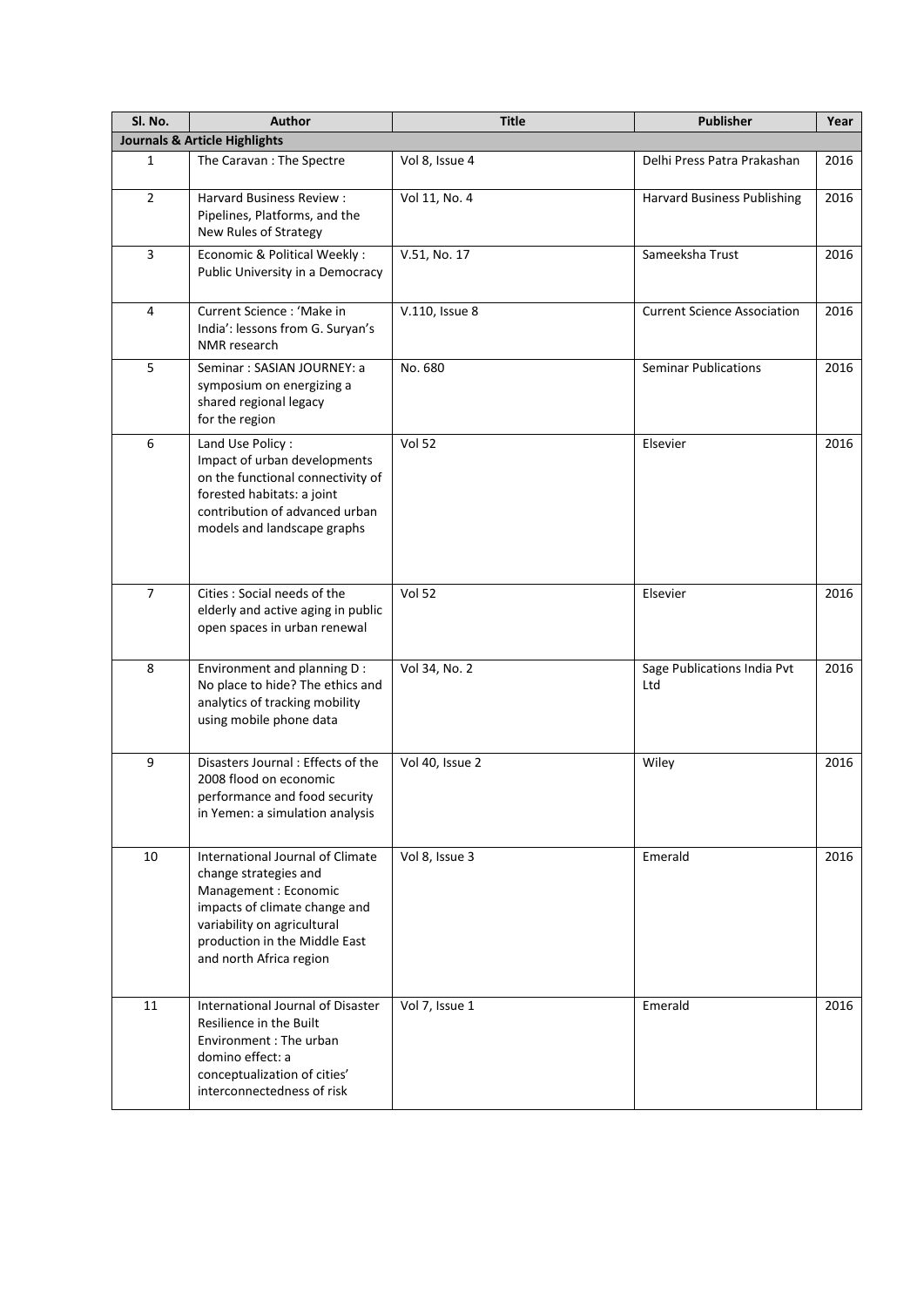| Sl. No.        | <b>Author</b>                                                                                                                                                                                                  | <b>Title</b>    | <b>Publisher</b>                   | Year |
|----------------|----------------------------------------------------------------------------------------------------------------------------------------------------------------------------------------------------------------|-----------------|------------------------------------|------|
|                | <b>Journals &amp; Article Highlights</b>                                                                                                                                                                       |                 |                                    |      |
| $\mathbf{1}$   | The Caravan: The Spectre                                                                                                                                                                                       | Vol 8, Issue 4  | Delhi Press Patra Prakashan        | 2016 |
| $\overline{2}$ | <b>Harvard Business Review:</b><br>Pipelines, Platforms, and the<br>New Rules of Strategy                                                                                                                      | Vol 11, No. 4   | <b>Harvard Business Publishing</b> | 2016 |
| 3              | Economic & Political Weekly:<br>Public University in a Democracy                                                                                                                                               | V.51, No. 17    | Sameeksha Trust                    | 2016 |
| 4              | Current Science : 'Make in<br>India': lessons from G. Suryan's<br>NMR research                                                                                                                                 | V.110, Issue 8  | <b>Current Science Association</b> | 2016 |
| 5              | Seminar: SASIAN JOURNEY: a<br>symposium on energizing a<br>shared regional legacy<br>for the region                                                                                                            | No. 680         | <b>Seminar Publications</b>        | 2016 |
| 6              | Land Use Policy:<br>Impact of urban developments<br>on the functional connectivity of<br>forested habitats: a joint<br>contribution of advanced urban<br>models and landscape graphs                           | <b>Vol 52</b>   | Elsevier                           | 2016 |
| $\overline{7}$ | Cities : Social needs of the<br>elderly and active aging in public<br>open spaces in urban renewal                                                                                                             | <b>Vol 52</b>   | Elsevier                           | 2016 |
| 8              | Environment and planning D :<br>No place to hide? The ethics and<br>analytics of tracking mobility<br>using mobile phone data                                                                                  | Vol 34, No. 2   | Sage Publications India Pvt<br>Ltd | 2016 |
| 9              | Disasters Journal: Effects of the<br>2008 flood on economic<br>performance and food security<br>in Yemen: a simulation analysis                                                                                | Vol 40, Issue 2 | Wiley                              | 2016 |
| 10             | International Journal of Climate<br>change strategies and<br>Management : Economic<br>impacts of climate change and<br>variability on agricultural<br>production in the Middle East<br>and north Africa region | Vol 8, Issue 3  | Emerald                            | 2016 |
| 11             | International Journal of Disaster<br>Resilience in the Built<br>Environment : The urban<br>domino effect: a<br>conceptualization of cities'<br>interconnectedness of risk                                      | Vol 7, Issue 1  | Emerald                            | 2016 |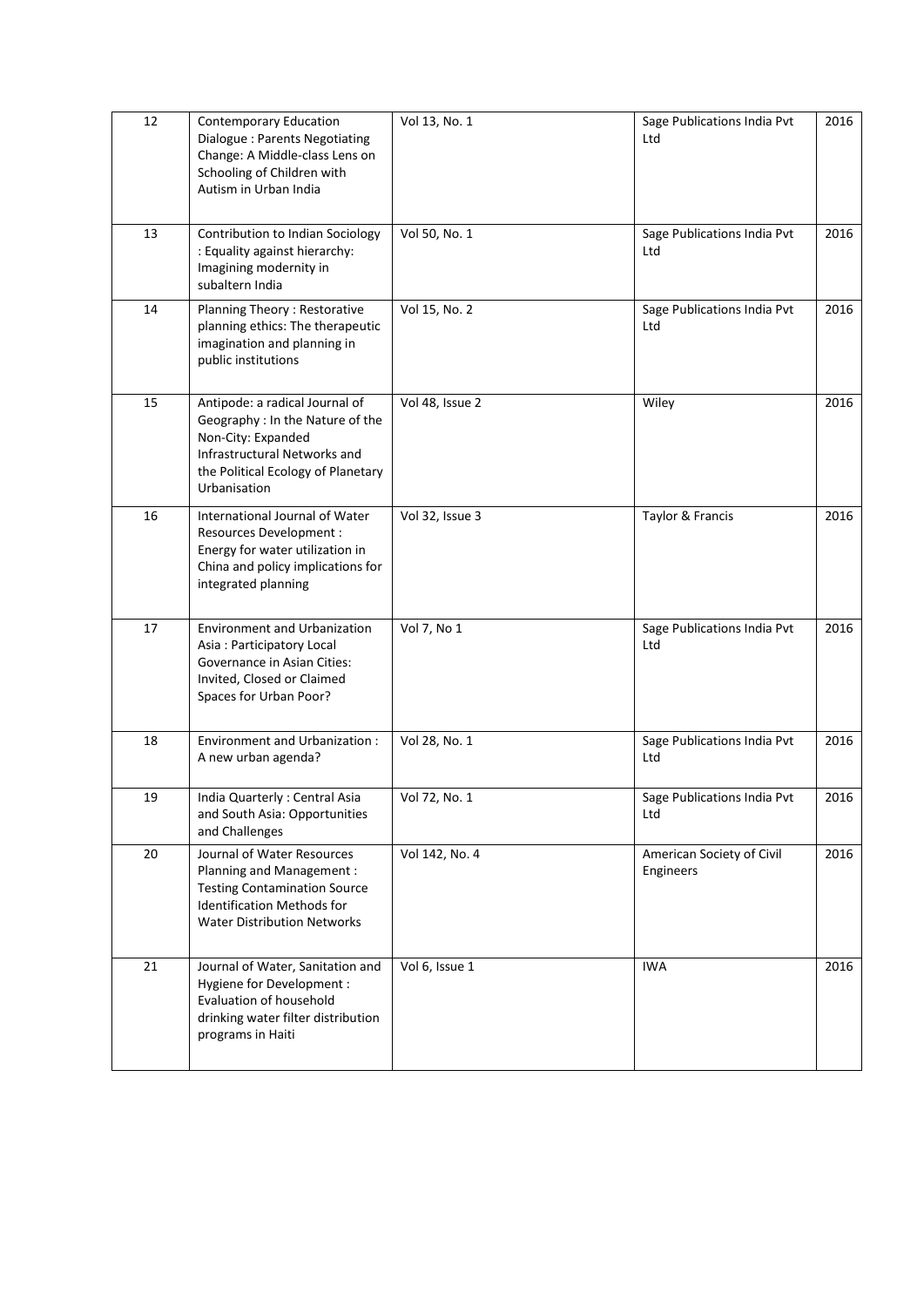| 12 | <b>Contemporary Education</b><br>Dialogue: Parents Negotiating<br>Change: A Middle-class Lens on<br>Schooling of Children with<br>Autism in Urban India                        | Vol 13, No. 1   | Sage Publications India Pvt<br>Ltd     | 2016 |
|----|--------------------------------------------------------------------------------------------------------------------------------------------------------------------------------|-----------------|----------------------------------------|------|
| 13 | Contribution to Indian Sociology<br>: Equality against hierarchy:<br>Imagining modernity in<br>subaltern India                                                                 | Vol 50, No. 1   | Sage Publications India Pvt<br>Ltd     | 2016 |
| 14 | Planning Theory: Restorative<br>planning ethics: The therapeutic<br>imagination and planning in<br>public institutions                                                         | Vol 15, No. 2   | Sage Publications India Pvt<br>Ltd     | 2016 |
| 15 | Antipode: a radical Journal of<br>Geography : In the Nature of the<br>Non-City: Expanded<br>Infrastructural Networks and<br>the Political Ecology of Planetary<br>Urbanisation | Vol 48, Issue 2 | Wiley                                  | 2016 |
| 16 | International Journal of Water<br>Resources Development :<br>Energy for water utilization in<br>China and policy implications for<br>integrated planning                       | Vol 32, Issue 3 | Taylor & Francis                       | 2016 |
| 17 | <b>Environment and Urbanization</b><br>Asia: Participatory Local<br>Governance in Asian Cities:<br>Invited, Closed or Claimed<br>Spaces for Urban Poor?                        | Vol 7, No 1     | Sage Publications India Pvt<br>Ltd     | 2016 |
| 18 | Environment and Urbanization:<br>A new urban agenda?                                                                                                                           | Vol 28, No. 1   | Sage Publications India Pvt<br>Ltd     | 2016 |
| 19 | India Quarterly: Central Asia<br>and South Asia: Opportunities<br>and Challenges                                                                                               | Vol 72, No. 1   | Sage Publications India Pvt<br>Ltd     | 2016 |
| 20 | Journal of Water Resources<br>Planning and Management :<br><b>Testing Contamination Source</b><br><b>Identification Methods for</b><br><b>Water Distribution Networks</b>      | Vol 142, No. 4  | American Society of Civil<br>Engineers | 2016 |
| 21 | Journal of Water, Sanitation and<br>Hygiene for Development :<br><b>Evaluation of household</b><br>drinking water filter distribution<br>programs in Haiti                     | Vol 6, Issue 1  | <b>IWA</b>                             | 2016 |